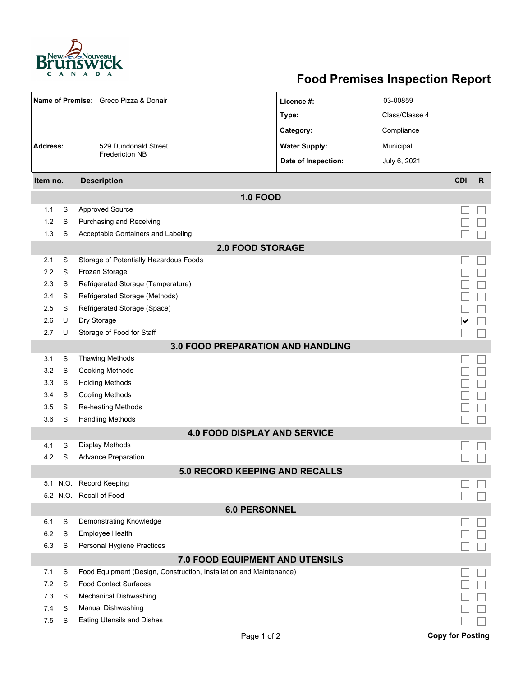

## **Food Premises Inspection Report**

| Name of Premise: Greco Pizza & Donair   |   |                                                                     | Licence #:           | 03-00859       |                         |              |  |  |  |  |  |
|-----------------------------------------|---|---------------------------------------------------------------------|----------------------|----------------|-------------------------|--------------|--|--|--|--|--|
|                                         |   |                                                                     | Type:                | Class/Classe 4 |                         |              |  |  |  |  |  |
|                                         |   |                                                                     | Category:            | Compliance     |                         |              |  |  |  |  |  |
| <b>Address:</b><br>529 Dundonald Street |   |                                                                     | <b>Water Supply:</b> | Municipal      |                         |              |  |  |  |  |  |
|                                         |   | <b>Fredericton NB</b>                                               | Date of Inspection:  | July 6, 2021   |                         |              |  |  |  |  |  |
|                                         |   |                                                                     |                      |                |                         |              |  |  |  |  |  |
| <b>Description</b><br>Item no.          |   |                                                                     |                      |                | <b>CDI</b>              | $\mathsf{R}$ |  |  |  |  |  |
|                                         |   | <b>1.0 FOOD</b>                                                     |                      |                |                         |              |  |  |  |  |  |
| 1.1                                     | S | <b>Approved Source</b>                                              |                      |                |                         |              |  |  |  |  |  |
| 1.2                                     | S | Purchasing and Receiving                                            |                      |                |                         |              |  |  |  |  |  |
| 1.3                                     | S | Acceptable Containers and Labeling                                  |                      |                |                         |              |  |  |  |  |  |
| <b>2.0 FOOD STORAGE</b>                 |   |                                                                     |                      |                |                         |              |  |  |  |  |  |
| 2.1                                     | S | Storage of Potentially Hazardous Foods                              |                      |                |                         |              |  |  |  |  |  |
| 2.2                                     | S | Frozen Storage                                                      |                      |                |                         |              |  |  |  |  |  |
| 2.3                                     | S | Refrigerated Storage (Temperature)                                  |                      |                |                         |              |  |  |  |  |  |
| 2.4                                     | S | Refrigerated Storage (Methods)                                      |                      |                |                         |              |  |  |  |  |  |
| 2.5                                     | S | Refrigerated Storage (Space)                                        |                      |                |                         |              |  |  |  |  |  |
| 2.6                                     | U | Dry Storage                                                         |                      |                | ∣∨                      |              |  |  |  |  |  |
| 2.7                                     | U | Storage of Food for Staff                                           |                      |                |                         |              |  |  |  |  |  |
|                                         |   | <b>3.0 FOOD PREPARATION AND HANDLING</b>                            |                      |                |                         |              |  |  |  |  |  |
| 3.1                                     | S | <b>Thawing Methods</b>                                              |                      |                |                         |              |  |  |  |  |  |
| 3.2                                     | S | <b>Cooking Methods</b>                                              |                      |                |                         |              |  |  |  |  |  |
| 3.3                                     | S | <b>Holding Methods</b>                                              |                      |                |                         |              |  |  |  |  |  |
| 3.4                                     | S | <b>Cooling Methods</b>                                              |                      |                |                         |              |  |  |  |  |  |
| 3.5                                     | S | Re-heating Methods                                                  |                      |                |                         |              |  |  |  |  |  |
| 3.6                                     | S | <b>Handling Methods</b>                                             |                      |                |                         |              |  |  |  |  |  |
|                                         |   | <b>4.0 FOOD DISPLAY AND SERVICE</b>                                 |                      |                |                         |              |  |  |  |  |  |
| 4.1                                     | S | Display Methods                                                     |                      |                |                         |              |  |  |  |  |  |
| 4.2                                     | S | <b>Advance Preparation</b>                                          |                      |                |                         |              |  |  |  |  |  |
|                                         |   | <b>5.0 RECORD KEEPING AND RECALLS</b>                               |                      |                |                         |              |  |  |  |  |  |
|                                         |   | 5.1 N.O. Record Keeping                                             |                      |                |                         |              |  |  |  |  |  |
|                                         |   | 5.2 N.O. Recall of Food                                             |                      |                |                         |              |  |  |  |  |  |
|                                         |   | <b>6.0 PERSONNEL</b>                                                |                      |                |                         |              |  |  |  |  |  |
| 6.1                                     | S | Demonstrating Knowledge                                             |                      |                |                         |              |  |  |  |  |  |
| 6.2                                     | S | Employee Health                                                     |                      |                |                         |              |  |  |  |  |  |
| 6.3                                     | S | Personal Hygiene Practices                                          |                      |                |                         |              |  |  |  |  |  |
|                                         |   | 7.0 FOOD EQUIPMENT AND UTENSILS                                     |                      |                |                         |              |  |  |  |  |  |
| 7.1                                     | S | Food Equipment (Design, Construction, Installation and Maintenance) |                      |                |                         |              |  |  |  |  |  |
| 7.2                                     | S | <b>Food Contact Surfaces</b>                                        |                      |                |                         |              |  |  |  |  |  |
| 7.3                                     | S | <b>Mechanical Dishwashing</b>                                       |                      |                |                         |              |  |  |  |  |  |
| 7.4                                     | S | Manual Dishwashing                                                  |                      |                |                         |              |  |  |  |  |  |
| 7.5                                     | S | Eating Utensils and Dishes                                          |                      |                |                         |              |  |  |  |  |  |
|                                         |   | Page 1 of 2                                                         |                      |                | <b>Copy for Posting</b> |              |  |  |  |  |  |